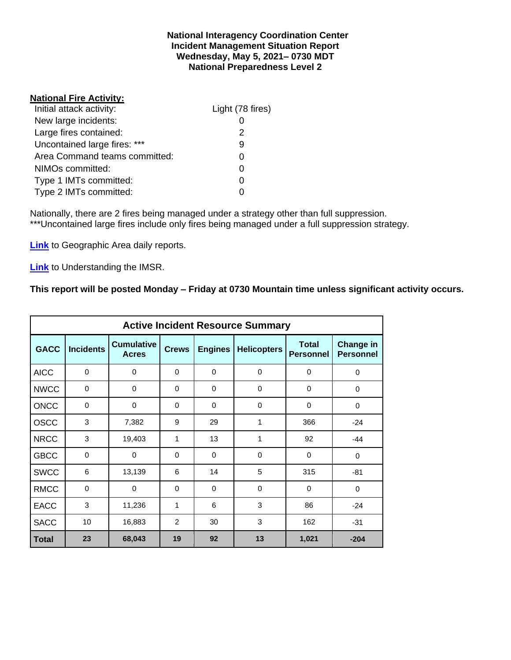#### **National Interagency Coordination Center Incident Management Situation Report Wednesday, May 5, 2021– 0730 MDT National Preparedness Level 2**

# **National Fire Activity:**

| Initial attack activity:      | Light (78 fires) |
|-------------------------------|------------------|
| New large incidents:          |                  |
| Large fires contained:        | 2                |
| Uncontained large fires: ***  | 9                |
| Area Command teams committed: | ი                |
| NIMOs committed:              | ი                |
| Type 1 IMTs committed:        | O                |
| Type 2 IMTs committed:        |                  |

Nationally, there are 2 fires being managed under a strategy other than full suppression. \*\*\*Uncontained large fires include only fires being managed under a full suppression strategy.

**[Link](http://www.nifc.gov/nicc/predictive/statelinks.htm)** to Geographic Area daily reports.

**[Link](https://www.predictiveservices.nifc.gov/intelligence/Understanding%20the%20IMSR%202019.pdf)** to Understanding the IMSR.

# **This report will be posted Monday – Friday at 0730 Mountain time unless significant activity occurs.**

|              |                  |                                   |              |                      | <b>Active Incident Resource Summary</b> |                                  |                                      |
|--------------|------------------|-----------------------------------|--------------|----------------------|-----------------------------------------|----------------------------------|--------------------------------------|
| <b>GACC</b>  | <b>Incidents</b> | <b>Cumulative</b><br><b>Acres</b> | <b>Crews</b> | <b>Engines</b>       | <b>Helicopters</b>                      | <b>Total</b><br><b>Personnel</b> | <b>Change in</b><br><b>Personnel</b> |
| <b>AICC</b>  | $\Omega$         | 0                                 | $\Omega$     | $\Omega$             | $\Omega$                                |                                  | 0                                    |
| <b>NWCC</b>  | $\mathbf 0$      | 0                                 | $\Omega$     | $\Omega$             | $\Omega$                                | 0                                | 0                                    |
| <b>ONCC</b>  | $\mathbf 0$      | 0                                 | $\Omega$     | $\Omega$<br>$\Omega$ |                                         | 0                                | 0                                    |
| <b>OSCC</b>  | 3                | 7,382                             | 9            | 29                   | 1                                       | 366                              | $-24$                                |
| <b>NRCC</b>  | 3                | 19,403                            | 1            | 13                   | 1                                       | 92                               | $-44$                                |
| <b>GBCC</b>  | $\mathbf 0$      | 0                                 | $\Omega$     | 0                    | $\Omega$                                | 0                                | 0                                    |
| <b>SWCC</b>  | 6                | 13,139                            | 6            | 14                   | 5                                       | 315                              | $-81$                                |
| <b>RMCC</b>  | $\mathbf 0$      | 0                                 | $\Omega$     | $\Omega$             | $\Omega$                                | $\Omega$                         | $\mathbf 0$                          |
| <b>EACC</b>  | 3                | 11,236                            | 1            | 6                    | 3                                       | 86                               | $-24$                                |
| <b>SACC</b>  | 10               | 16,883                            | 2            | 30                   | 3                                       | 162                              | $-31$                                |
| <b>Total</b> | 23               | 68,043                            | 19           | 92                   | 13                                      | 1,021                            | $-204$                               |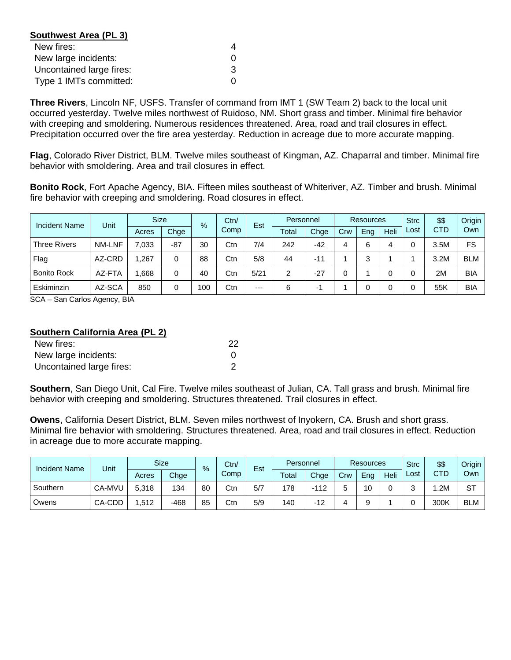| Southwest Area (PL 3)    |   |
|--------------------------|---|
| New fires:               | 4 |
| New large incidents:     | O |
| Uncontained large fires: | З |
| Type 1 IMTs committed:   | ŋ |

**Three Rivers**, Lincoln NF, USFS. Transfer of command from IMT 1 (SW Team 2) back to the local unit occurred yesterday. Twelve miles northwest of Ruidoso, NM. Short grass and timber. Minimal fire behavior with creeping and smoldering. Numerous residences threatened. Area, road and trail closures in effect. Precipitation occurred over the fire area yesterday. Reduction in acreage due to more accurate mapping.

**Flag**, Colorado River District, BLM. Twelve miles southeast of Kingman, AZ. Chaparral and timber. Minimal fire behavior with smoldering. Area and trail closures in effect.

**Bonito Rock**, Fort Apache Agency, BIA. Fifteen miles southeast of Whiteriver, AZ. Timber and brush. Minimal fire behavior with creeping and smoldering. Road closures in effect.

| <b>Incident Name</b> | Unit          | <b>Size</b> | $\frac{9}{6}$ |     | Ctn/ | Est  | Personnel |       | Resources |        |      | <b>Strc</b> | \$\$       | Origin     |
|----------------------|---------------|-------------|---------------|-----|------|------|-----------|-------|-----------|--------|------|-------------|------------|------------|
|                      |               | Acres       | Chge          |     | Comp |      | Total     | Chge  | Crw       | Eng    | Heli | Lost        | <b>CTD</b> | Own        |
| <b>Three Rivers</b>  | <b>NM-LNF</b> | 7,033       | $-87$         | 30  | Ctn  | 7/4  | 242       | $-42$ |           | 6      | 4    |             | 3.5M       | FS         |
| Flag                 | AZ-CRD        | 1,267       | 0             | 88  | Ctn  | 5/8  | 44        | $-11$ |           | ≏<br>c |      |             | 3.2M       | <b>BLM</b> |
| <b>Bonito Rock</b>   | AZ-FTA        | .668        | 0             | 40  | Ctn  | 5/21 | 2         | $-27$ |           |        | 0    |             | 2M         | <b>BIA</b> |
| Eskiminzin           | AZ-SCA        | 850         | 0             | 100 | Ctn  | $--$ | 6         | -1    |           |        |      |             | 55K        | <b>BIA</b> |

SCA – San Carlos Agency, BIA

## **Southern California Area (PL 2)**

| New fires:               | 22 |
|--------------------------|----|
| New large incidents:     |    |
| Uncontained large fires: |    |

**Southern**, San Diego Unit, Cal Fire. Twelve miles southeast of Julian, CA. Tall grass and brush. Minimal fire behavior with creeping and smoldering. Structures threatened. Trail closures in effect.

**Owens**, California Desert District, BLM. Seven miles northwest of Inyokern, CA. Brush and short grass. Minimal fire behavior with smoldering. Structures threatened. Area, road and trail closures in effect. Reduction in acreage due to more accurate mapping.

| <b>Incident Name</b> | Unit   |       | <b>Size</b> | %  | Ctn/ | Est | Personnel |        | <b>Resources</b> |     |      | <b>Strc</b> | \$\$       | Origin     |
|----------------------|--------|-------|-------------|----|------|-----|-----------|--------|------------------|-----|------|-------------|------------|------------|
|                      |        | Acres | Chge        |    | Comp |     | Total     | Chge   | Crw              | Eng | Heli | ∟ost        | <b>CTD</b> | Own        |
| Southern             | CA-MVU | 5.318 | 134         | 80 | Ctn  | 5/7 | 178       | $-112$ |                  | 10  |      |             | .2M        | -ST        |
| Owens                | CA-CDD | .512  | -468        | 85 | Ctn  | 5/9 | 140       | -12    |                  |     |      |             | 300K       | <b>BLM</b> |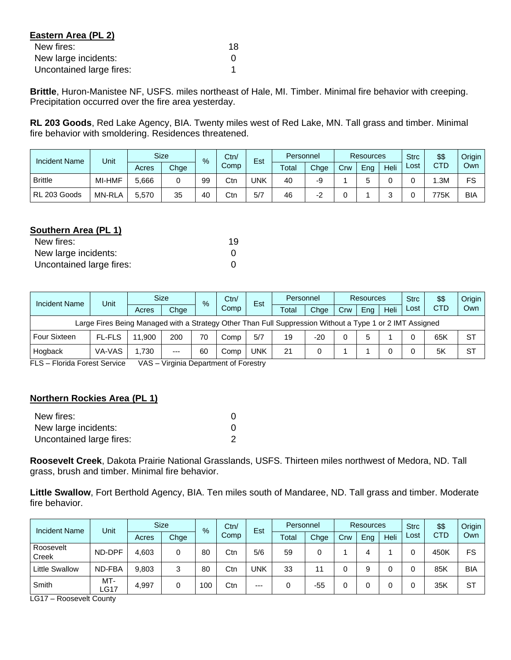| Eastern Area (PL 2)      |    |
|--------------------------|----|
| New fires:               | 18 |
| New large incidents:     |    |
| Uncontained large fires: |    |

**Brittle**, Huron-Manistee NF, USFS. miles northeast of Hale, MI. Timber. Minimal fire behavior with creeping. Precipitation occurred over the fire area yesterday.

**RL 203 Goods**, Red Lake Agency, BIA. Twenty miles west of Red Lake, MN. Tall grass and timber. Minimal fire behavior with smoldering. Residences threatened.

| <b>Incident Name</b> | Unit          |       | <b>Size</b> | $\frac{9}{6}$ | Ctn/ | Est | Personnel |      | <b>Resources</b> |     |      | <b>Strc</b> | \$\$       | Origin |
|----------------------|---------------|-------|-------------|---------------|------|-----|-----------|------|------------------|-----|------|-------------|------------|--------|
|                      |               | Acres | Chge        |               | Comp |     | Total     | Chge | Crw              | Ena | Heli | ∟ost        | <b>CTD</b> | Ownl   |
| <b>Brittle</b>       | MI-HMF        | 5,666 |             | 99            | Ctn  | UNK | 40        | -9   |                  |     |      |             | .3M        | FS     |
| RL 203 Goods         | <b>MN-RLA</b> | 5,570 | 35          | 40            | Ctn  | 5/7 | 46        |      |                  |     |      |             | 775K       | BIA    |

# **Southern Area (PL 1)**

| New fires:               | 19 |
|--------------------------|----|
| New large incidents:     |    |
| Uncontained large fires: |    |

| <b>Incident Name</b>                                                                                     | Unit          |        | <b>Size</b> | $\%$ | Ctn/ | Est<br>Comp | Personnel |       | Resources |     |      | <b>Strc</b> | \$\$       | Origin    |
|----------------------------------------------------------------------------------------------------------|---------------|--------|-------------|------|------|-------------|-----------|-------|-----------|-----|------|-------------|------------|-----------|
|                                                                                                          |               | Acres  | Chge        |      |      |             | Total     | Chae  | Crw       | Eng | Heli | Lost        | <b>CTD</b> | Own       |
| Large Fires Being Managed with a Strategy Other Than Full Suppression Without a Type 1 or 2 IMT Assigned |               |        |             |      |      |             |           |       |           |     |      |             |            |           |
| Four Sixteen                                                                                             | <b>FL-FLS</b> | 11.900 | 200         | 70   | Comp | 5/7         | 19        | $-20$ |           |     |      |             | 65K        | <b>ST</b> |
| Hogback                                                                                                  | VA-VAS        | 1.730  | $---$       | 60   | Comp | <b>UNK</b>  | 21        |       |           |     |      |             | 5K         | <b>ST</b> |

FLS – Florida Forest Service VAS – Virginia Department of Forestry

# **Northern Rockies Area (PL 1)**

| New fires:               |  |
|--------------------------|--|
| New large incidents:     |  |
| Uncontained large fires: |  |

**Roosevelt Creek**, Dakota Prairie National Grasslands, USFS. Thirteen miles northwest of Medora, ND. Tall grass, brush and timber. Minimal fire behavior.

**Little Swallow**, Fort Berthold Agency, BIA. Ten miles south of Mandaree, ND. Tall grass and timber. Moderate fire behavior.

| <b>Incident Name</b>  | Unit        |       | <b>Size</b><br>$\frac{9}{6}$ |     | Ctn/ | Est   | Personnel |       | Resources |     |      | <b>Strc</b> | \$\$       | Origin     |
|-----------------------|-------------|-------|------------------------------|-----|------|-------|-----------|-------|-----------|-----|------|-------------|------------|------------|
|                       |             | Acres | Chge                         |     | Comp |       | Total     | Chge  | Crw       | Eng | Heli | Lost        | <b>CTD</b> | Own        |
| Roosevelt<br>Creek    | ND-DPF      | 4,603 | 0                            | 80  | Ctn  | 5/6   | 59        | 0     |           |     |      |             | 450K       | FS         |
| <b>Little Swallow</b> | ND-FBA      | 9,803 | 3                            | 80  | Ctn  | UNK   | 33        | 11    |           | c   |      |             | 85K        | <b>BIA</b> |
| Smith                 | MT-<br>LG17 | 4,997 | 0                            | 100 | Ctn  | $---$ |           | $-55$ |           |     |      |             | 35K        | <b>ST</b>  |

LG17 – Roosevelt County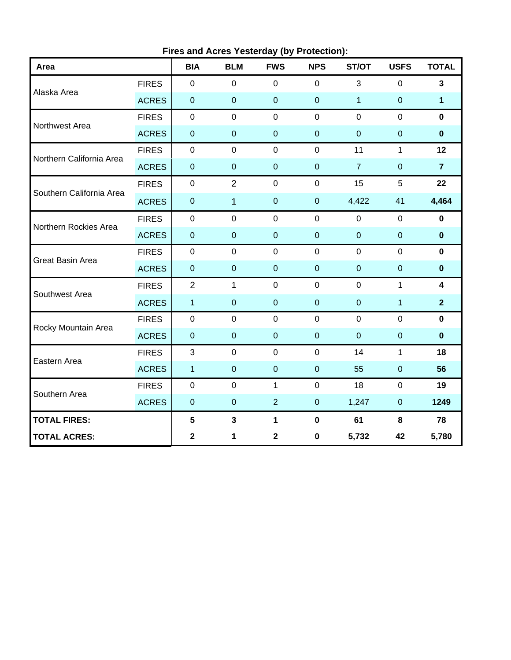| Area                     |              | <b>BIA</b>       | $\frac{1}{2}$ is and Abree Teaterally (by Tretection).<br><b>BLM</b> | <b>FWS</b>     | <b>NPS</b>       | ST/OT          | <b>USFS</b>    | <b>TOTAL</b>            |
|--------------------------|--------------|------------------|----------------------------------------------------------------------|----------------|------------------|----------------|----------------|-------------------------|
| Alaska Area              | <b>FIRES</b> | $\mathbf 0$      | $\mathsf 0$                                                          | $\pmb{0}$      | $\mathbf 0$      | $\mathbf{3}$   | $\mathbf 0$    | $\mathbf{3}$            |
|                          | <b>ACRES</b> | $\pmb{0}$        | $\mathbf 0$                                                          | $\mathbf 0$    | $\mathbf 0$      | $\overline{1}$ | $\pmb{0}$      | $\mathbf 1$             |
| Northwest Area           | <b>FIRES</b> | $\boldsymbol{0}$ | $\mathbf 0$                                                          | $\mathbf 0$    | $\mathbf 0$      | $\mathbf 0$    | $\mathbf 0$    | $\mathbf 0$             |
|                          | <b>ACRES</b> | $\pmb{0}$        | $\overline{0}$                                                       | $\overline{0}$ | $\mathbf 0$      | $\mathbf 0$    | $\overline{0}$ | $\mathbf 0$             |
| Northern California Area | <b>FIRES</b> | $\pmb{0}$        | $\mathsf 0$                                                          | $\pmb{0}$      | $\pmb{0}$        | 11             | $\mathbf{1}$   | 12                      |
|                          | <b>ACRES</b> | $\pmb{0}$        | $\mathbf 0$                                                          | $\pmb{0}$      | $\pmb{0}$        | $\overline{7}$ | $\pmb{0}$      | $\overline{7}$          |
| Southern California Area | <b>FIRES</b> | $\pmb{0}$        | $\overline{2}$                                                       | $\mathbf 0$    | $\pmb{0}$        | 15             | 5              | 22                      |
|                          | <b>ACRES</b> | $\pmb{0}$        | $\overline{1}$                                                       | $\mathbf 0$    | $\mathbf 0$      | 4,422          | 41             | 4,464                   |
| Northern Rockies Area    | <b>FIRES</b> | $\pmb{0}$        | $\mathbf 0$                                                          | $\mathbf 0$    | $\mathbf 0$      | $\mathbf 0$    | $\mathbf 0$    | $\mathbf 0$             |
|                          | <b>ACRES</b> | $\pmb{0}$        | $\overline{0}$                                                       | $\pmb{0}$      | $\mathbf 0$      | $\overline{0}$ | $\pmb{0}$      | $\mathbf 0$             |
| <b>Great Basin Area</b>  | <b>FIRES</b> | $\mathbf 0$      | $\mathbf 0$                                                          | $\pmb{0}$      | $\mathbf 0$      | $\mathbf 0$    | $\mathbf 0$    | $\mathbf 0$             |
|                          | <b>ACRES</b> | $\mathbf 0$      | $\overline{0}$                                                       | $\pmb{0}$      | $\pmb{0}$        | $\overline{0}$ | $\mathbf 0$    | $\mathbf 0$             |
| Southwest Area           | <b>FIRES</b> | $\overline{2}$   | $\mathbf{1}$                                                         | $\mathbf 0$    | $\mathbf 0$      | $\mathbf 0$    | $\mathbf{1}$   | $\overline{\mathbf{4}}$ |
|                          | <b>ACRES</b> | $\mathbf{1}$     | $\overline{0}$                                                       | $\overline{0}$ | $\mathbf 0$      | $\mathbf 0$    | $\overline{1}$ | $\overline{2}$          |
| Rocky Mountain Area      | <b>FIRES</b> | $\pmb{0}$        | $\mathbf 0$                                                          | $\pmb{0}$      | $\mathbf 0$      | $\mathbf 0$    | $\mathbf 0$    | $\mathbf 0$             |
|                          | <b>ACRES</b> | $\pmb{0}$        | $\overline{0}$                                                       | $\pmb{0}$      | $\overline{0}$   | $\mathbf 0$    | $\mathbf 0$    | $\mathbf 0$             |
| Eastern Area             | <b>FIRES</b> | 3                | $\mathbf 0$                                                          | $\mathbf 0$    | $\mathbf 0$      | 14             | $\mathbf{1}$   | 18                      |
|                          | <b>ACRES</b> | $\mathbf{1}$     | $\overline{0}$                                                       | $\mathbf 0$    | $\mathbf 0$      | 55             | $\mathbf 0$    | 56                      |
| Southern Area            | <b>FIRES</b> | $\mathbf 0$      | $\mathbf 0$                                                          | $\mathbf{1}$   | $\mathbf 0$      | 18             | $\mathbf 0$    | 19                      |
|                          | <b>ACRES</b> | $\mathbf 0$      | $\overline{0}$                                                       | $\overline{2}$ | $\boldsymbol{0}$ | 1,247          | $\mathbf 0$    | 1249                    |
| <b>TOTAL FIRES:</b>      |              | $5\phantom{a}$   | $\mathbf{3}$                                                         | $\mathbf 1$    | $\pmb{0}$        | 61             | 8              | 78                      |
| <b>TOTAL ACRES:</b>      |              | $\mathbf 2$      | 1                                                                    | $\mathbf 2$    | $\pmb{0}$        | 5,732          | 42             | 5,780                   |

**Fires and Acres Yesterday (by Protection):**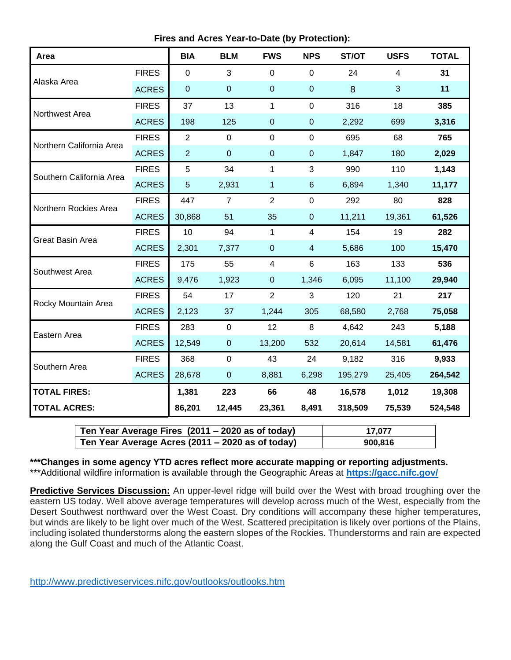**Fires and Acres Year-to-Date (by Protection):**

| Area                     |              | <b>BIA</b>       | <b>BLM</b>       | <b>FWS</b>     | <b>NPS</b>               | ST/OT   | <b>USFS</b>    | <b>TOTAL</b> |
|--------------------------|--------------|------------------|------------------|----------------|--------------------------|---------|----------------|--------------|
| Alaska Area              | <b>FIRES</b> | $\mathbf 0$      | 3                | $\mathbf 0$    | $\mathbf 0$              | 24      | $\overline{4}$ | 31           |
|                          | <b>ACRES</b> | $\boldsymbol{0}$ | $\pmb{0}$        | $\pmb{0}$      | $\pmb{0}$                | 8       | 3              | 11           |
| Northwest Area           | <b>FIRES</b> | 37               | 13               | 1              | $\mathbf 0$              | 316     | 18             | 385          |
|                          | <b>ACRES</b> | 198              | 125              | $\overline{0}$ | $\pmb{0}$                | 2,292   | 699            | 3,316        |
| Northern California Area | <b>FIRES</b> | $\overline{2}$   | $\mathbf 0$      | $\mathbf 0$    | $\pmb{0}$                | 695     | 68             | 765          |
|                          | <b>ACRES</b> | $\overline{2}$   | $\boldsymbol{0}$ | $\pmb{0}$      | $\pmb{0}$                | 1,847   | 180            | 2,029        |
| Southern California Area | <b>FIRES</b> | 5                | 34               | 1              | 3                        | 990     | 110            | 1,143        |
|                          | <b>ACRES</b> | $\overline{5}$   | 2,931            | 1              | $\,6$                    | 6,894   | 1,340          | 11,177       |
| Northern Rockies Area    | <b>FIRES</b> | 447              | $\overline{7}$   | $\overline{2}$ | $\mathbf 0$              | 292     | 80             | 828          |
|                          | <b>ACRES</b> | 30,868           | 51               | 35             | $\boldsymbol{0}$         | 11,211  | 19,361         | 61,526       |
| <b>Great Basin Area</b>  | <b>FIRES</b> | 10               | 94               | 1              | $\overline{\mathcal{A}}$ | 154     | 19             | 282          |
|                          | <b>ACRES</b> | 2,301            | 7,377            | $\pmb{0}$      | $\overline{4}$           | 5,686   | 100            | 15,470       |
| Southwest Area           | <b>FIRES</b> | 175              | 55               | $\overline{4}$ | $6\phantom{1}$           | 163     | 133            | 536          |
|                          | <b>ACRES</b> | 9,476            | 1,923            | $\mathbf{0}$   | 1,346                    | 6,095   | 11,100         | 29,940       |
| Rocky Mountain Area      | <b>FIRES</b> | 54               | 17               | $\overline{2}$ | 3                        | 120     | 21             | 217          |
|                          | <b>ACRES</b> | 2,123            | 37               | 1,244          | 305                      | 68,580  | 2,768          | 75,058       |
| Eastern Area             | <b>FIRES</b> | 283              | $\mathbf 0$      | 12             | 8                        | 4,642   | 243            | 5,188        |
|                          | <b>ACRES</b> | 12,549           | $\pmb{0}$        | 13,200         | 532                      | 20,614  | 14,581         | 61,476       |
| Southern Area            | <b>FIRES</b> | 368              | $\mathbf 0$      | 43             | 24                       | 9,182   | 316            | 9,933        |
|                          | <b>ACRES</b> | 28,678           | $\boldsymbol{0}$ | 8,881          | 6,298                    | 195,279 | 25,405         | 264,542      |
| <b>TOTAL FIRES:</b>      |              | 1,381            | 223              | 66             | 48                       | 16,578  | 1,012          | 19,308       |
| <b>TOTAL ACRES:</b>      |              | 86,201           | 12,445           | 23,361         | 8,491                    | 318,509 | 75,539         | 524,548      |

| Ten Year Average Fires (2011 – 2020 as of today) | 17.077  |
|--------------------------------------------------|---------|
| Ten Year Average Acres (2011 – 2020 as of today) | 900,816 |

**\*\*\*Changes in some agency YTD acres reflect more accurate mapping or reporting adjustments.** \*\*\*Additional wildfire information is available through the Geographic Areas at **<https://gacc.nifc.gov/>**

**Predictive Services Discussion:** An upper-level ridge will build over the West with broad troughing over the eastern US today. Well above average temperatures will develop across much of the West, especially from the Desert Southwest northward over the West Coast. Dry conditions will accompany these higher temperatures, but winds are likely to be light over much of the West. Scattered precipitation is likely over portions of the Plains, including isolated thunderstorms along the eastern slopes of the Rockies. Thunderstorms and rain are expected along the Gulf Coast and much of the Atlantic Coast.

<http://www.predictiveservices.nifc.gov/outlooks/outlooks.htm>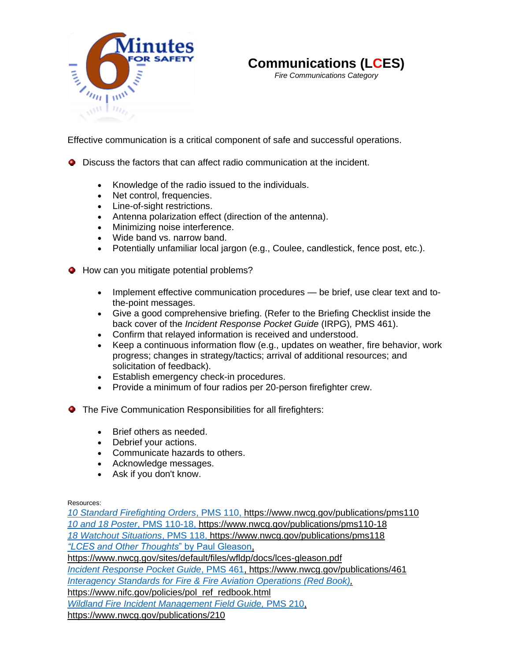



*Fire Communications Category*

[Effective communication is a cri](http://www.nwcg.gov/committees/6-Minutes-for-safety)tical component of safe and successful operations.

- Discuss the factors that can affect radio communication at the incident.
	- Knowledge of the radio issued to the individuals.
	- Net control, frequencies.
	- Line-of-sight restrictions.
	- Antenna polarization effect (direction of the antenna).
	- Minimizing noise interference.
	- Wide band vs. narrow band.
	- Potentially unfamiliar local jargon (e.g., Coulee, candlestick, fence post, etc.).
- **O** How can you mitigate potential problems?
	- Implement effective communication procedures be brief, use clear text and tothe-point messages.
	- Give a good comprehensive briefing. (Refer to the Briefing Checklist inside the back cover of the *Incident Response Pocket Guide* (IRPG)*,* PMS 461).
	- Confirm that relayed information is received and understood.
	- Keep a continuous information flow (e.g., updates on weather, fire behavior, work progress; changes in strategy/tactics; arrival of additional resources; and solicitation of feedback).
	- Establish emergency check-in procedures.
	- Provide a minimum of four radios per 20-person firefighter crew.
- **The Five Communication Responsibilities for all firefighters:** 
	- Brief others as needed.
	- Debrief your actions.
	- Communicate hazards to others.
	- Acknowledge messages.
	- Ask if you don't know.

Resources:

*[10 Standard Firefighting Orders](https://www.nwcg.gov/publications/pms110-18)*, PMS 110, https://www.nwcg.gov/publications/pms110 *[10 and 18 Poster](https://www.nwcg.gov/publications/pms110-18)*, PMS 110-18, https://www.nwcg.gov/publications/pms110-18 *[18 Watchout Situations](https://www.nwcg.gov/publications/pms118)*, PMS 118, <https://www.nwcg.gov/publications/pms118> *["LCES and Other Thoughts](https://www.nwcg.gov/sites/default/files/wfldp/docs/lces-gleason.pdf)*" by Paul Gleason, https://www.nwcg.gov/sites/default/files/wfldp/docs/lces-gleason.pdf *Incident Response Pocket Guide*[, PMS 461, https://www.nwcg.gov/publications/461](file://///ilmfcop3fp02vm.blm.doi.net/workgroups$/PMO/Website/NWCG%20Drupal/02%20Committees/6%20Minutes%20for%20Safety/6MFS%20Documents/Aviation/Incident%20Response%20Pocket%20Guide,%20PMS%20461,%20https:/www.nwcg.gov/publications/461)  *[Interagency Standards for Fire &](https://www.nifc.gov/policies/pol_ref_redbook.html) Fire Aviation Operations (Red Book),*  https://www.nifc.gov/policies/pol\_ref\_redbook.html *[Wildland Fire Incident Management Field Guide,](https://www.nwcg.gov/publications/210)* PMS 210, https://www.nwcg.gov/publications/210